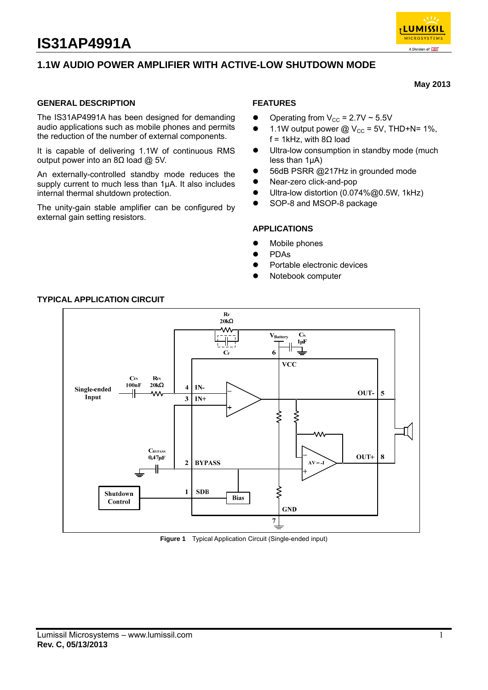

**May 2013** 

# **1.1W AUDIO POWER AMPLIFIER WITH ACTIVE-LOW SHUTDOWN MODE**

#### **GENERAL DESCRIPTION**

The IS31AP4991A has been designed for demanding audio applications such as mobile phones and permits the reduction of the number of external components.

It is capable of delivering 1.1W of continuous RMS output power into an 8Ω load @ 5V.

An externally-controlled standby mode reduces the supply current to much less than 1μA. It also includes internal thermal shutdown protection.

The unity-gain stable amplifier can be configured by external gain setting resistors.

## **FEATURES**

- Operating from  $V_{CC} = 2.7V \approx 5.5V$
- 1.1W output power  $@V_{CC} = 5V$ , THD+N= 1%, f = 1kHz, with  $8\Omega$  load
- **•** Ultra-low consumption in standby mode (much less than 1μA)
- 56dB PSRR @217Hz in grounded mode
- Near-zero click-and-pop
- Ultra-low distortion (0.074%@0.5W, 1kHz)
- SOP-8 and MSOP-8 package

#### **APPLICATIONS**

- Mobile phones
- **•** PDAs
- Portable electronic devices
- Notebook computer



# **TYPICAL APPLICATION CIRCUIT**

**Figure 1** Typical Application Circuit (Single-ended input)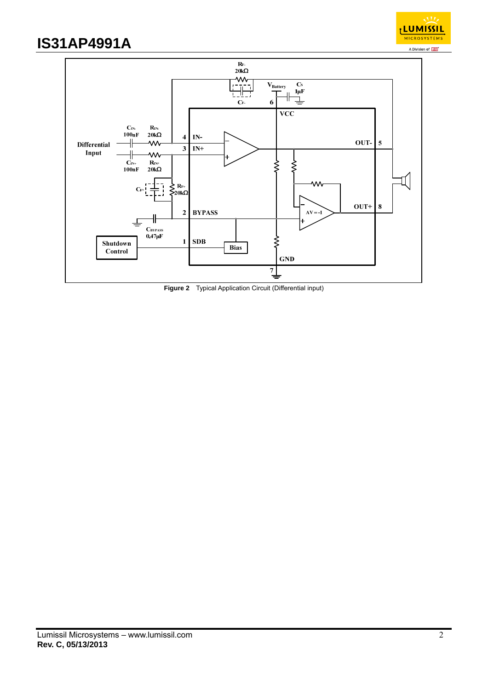



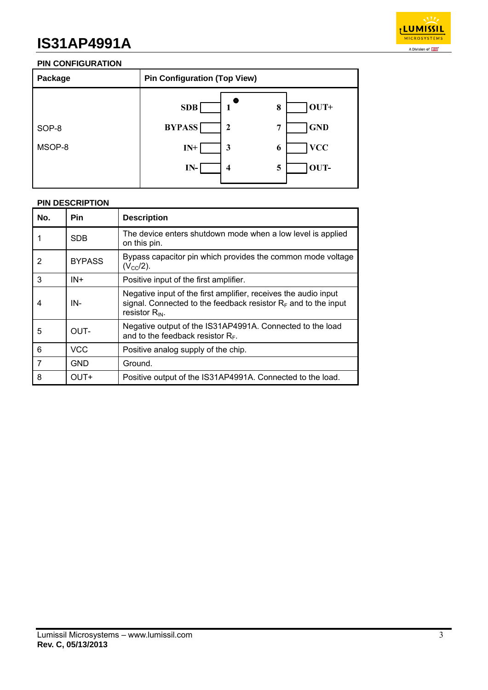

# **PIN CONFIGURATION**

| Package         | <b>Pin Configuration (Top View)</b>                                                             |                                                    |  |
|-----------------|-------------------------------------------------------------------------------------------------|----------------------------------------------------|--|
| SOP-8<br>MSOP-8 | <b>SDB</b><br>8<br>-1<br><b>BYPASS</b><br>$\mathbf{2}$<br>7<br>$IN+$<br>3<br>6<br>IN-<br>5<br>4 | $ 0UT+$<br><b>GND</b><br><b>VCC</b><br><b>OUT-</b> |  |
|                 |                                                                                                 |                                                    |  |

## **PIN DESCRIPTION**

| No. | Pin           | <b>Description</b>                                                                                                                                          |
|-----|---------------|-------------------------------------------------------------------------------------------------------------------------------------------------------------|
|     | <b>SDB</b>    | The device enters shutdown mode when a low level is applied<br>on this pin.                                                                                 |
| 2   | <b>BYPASS</b> | Bypass capacitor pin which provides the common mode voltage<br>$(V_{\rm CC}/2)$ .                                                                           |
| 3   | $IN +$        | Positive input of the first amplifier.                                                                                                                      |
| 4   | IN-           | Negative input of the first amplifier, receives the audio input<br>signal. Connected to the feedback resistor $R_F$ and to the input<br>resistor $R_{IN}$ . |
| 5   | OUT-          | Negative output of the IS31AP4991A. Connected to the load<br>and to the feedback resistor $R_F$ .                                                           |
| 6   | <b>VCC</b>    | Positive analog supply of the chip.                                                                                                                         |
| 7   | <b>GND</b>    | Ground.                                                                                                                                                     |
| 8   | OUT+          | Positive output of the IS31AP4991A. Connected to the load.                                                                                                  |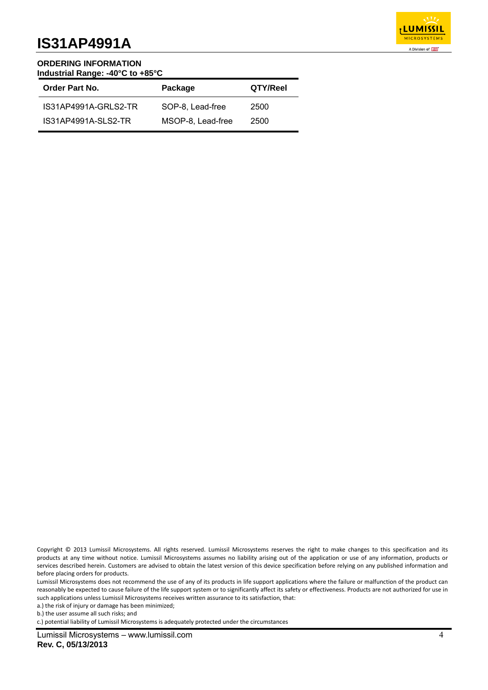

#### **ORDERING INFORMATION Industrial Range: -40°C to +85°C**

| Order Part No.       | Package           | QTY/Reel |
|----------------------|-------------------|----------|
| IS31AP4991A-GRLS2-TR | SOP-8, Lead-free  | 2500     |
| IS31AP4991A-SLS2-TR  | MSOP-8, Lead-free | 2500     |

Lumissil Microsystems does not recommend the use of any of its products in life support applications where the failure or malfunction of the product can reasonably be expected to cause failure of the life support system or to significantly affect its safety or effectiveness. Products are not authorized for use in such applications unless Lumissil Microsystems receives written assurance to its satisfaction, that:

a.) the risk of injury or damage has been minimized;

b.) the user assume all such risks; and

c.) potential liability of Lumissil Microsystems is adequately protected under the circumstances

Copyright © 2013 Lumissil Microsystems. All rights reserved. Lumissil Microsystems reserves the right to make changes to this specification and its products at any time without notice. Lumissil Microsystems assumes no liability arising out of the application or use of any information, products or services described herein. Customers are advised to obtain the latest version of this device specification before relying on any published information and before placing orders for products.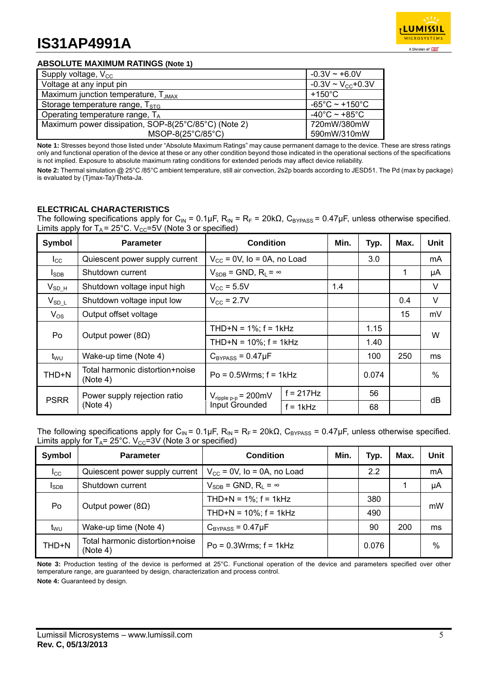

### **ABSOLUTE MAXIMUM RATINGS (Note 1)**

| Supply voltage, $V_{\text{cc}}$                      | $-0.3V \sim +6.0V$                  |
|------------------------------------------------------|-------------------------------------|
| Voltage at any input pin                             | $-0.3V \sim V_{CC} + 0.3V$          |
| Maximum junction temperature, T <sub>JMAX</sub>      | $+150^{\circ}$ C                    |
| Storage temperature range, $T_{STG}$                 | $-65^{\circ}$ C ~ +150 $^{\circ}$ C |
| Operating temperature range, $T_A$                   | $-40^{\circ}$ C ~ +85 $^{\circ}$ C  |
| Maximum power dissipation, SOP-8(25°C/85°C) (Note 2) | 720mW/380mW                         |
| MSOP-8(25°C/85°C)                                    | 590mW/310mW                         |

**Note 1:** Stresses beyond those listed under "Absolute Maximum Ratings" may cause permanent damage to the device. These are stress ratings only and functional operation of the device at these or any other condition beyond those indicated in the operational sections of the specifications is not implied. Exposure to absolute maximum rating conditions for extended periods may affect device reliability.

**Note 2:** Thermal simulation @ 25°C /85°C ambient temperature, still air convection, 2s2p boards according to JESD51. The Pd (max by package) is evaluated by (Tjmax-Ta)/Theta-Ja.

## **ELECTRICAL CHARACTERISTICS**

The following specifications apply for C<sub>IN</sub> = 0.1µF, R<sub>IN</sub> = R<sub>F</sub> = 20k $\Omega$ , C<sub>BYPASS</sub> = 0.47µF, unless otherwise specified. Limits apply for  $T_A = 25^{\circ}$ C. V<sub>CC</sub>=5V (Note 3 or specified)

| Symbol          | <b>Parameter</b>                            | <b>Condition</b>                                                                       |  | Min. | Typ.  | Max. | Unit   |
|-----------------|---------------------------------------------|----------------------------------------------------------------------------------------|--|------|-------|------|--------|
| $_{\rm lcc}$    | Quiescent power supply current              | $V_{\text{CC}}$ = 0V, Io = 0A, no Load                                                 |  |      | 3.0   |      | mA     |
| $I_{SDB}$       | Shutdown current                            | $V_{SDB}$ = GND, R <sub>i</sub> = $\infty$                                             |  |      |       | 1    | μA     |
| $V_{SDH}$       | Shutdown voltage input high                 | $V_{\rm CC} = 5.5V$                                                                    |  | 1.4  |       |      | $\vee$ |
| $V_{SD L}$      | Shutdown voltage input low                  | $V_{\text{CC}}$ = 2.7V                                                                 |  |      |       | 0.4  | $\vee$ |
| $V_{OS}$        | Output offset voltage                       |                                                                                        |  |      |       | 15   | mV     |
| Po              |                                             | THD+N = $1\%$ ; f = 1kHz                                                               |  |      | 1.15  |      |        |
|                 | Output power (8 $\Omega$ )                  | THD+N = $10\%$ ; f = 1kHz                                                              |  |      | 1.40  |      | W      |
| t <sub>wu</sub> | Wake-up time (Note 4)                       | $C_{BYPASS} = 0.47 \mu F$                                                              |  |      | 100   | 250  | ms     |
| THD+N           | Total harmonic distortion+noise<br>(Note 4) | $Po = 0.5Wrms$ ; $f = 1kHz$                                                            |  |      | 0.074 |      | $\%$   |
| <b>PSRR</b>     | Power supply rejection ratio<br>(Note 4)    | $f = 217Hz$<br>$V_{\text{ripple p-p}} = 200 \text{mV}$<br>Input Grounded<br>$f = 1kHz$ |  |      | 56    |      |        |
|                 |                                             |                                                                                        |  | 68   |       | dB   |        |

The following specifications apply for C<sub>IN</sub> = 0.1µF, R<sub>IN</sub> = R<sub>F</sub> = 20k $\Omega$ , C<sub>BYPASS</sub> = 0.47µF, unless otherwise specified. Limits apply for  $T_A$ = 25°C. V<sub>cc</sub>=3V (Note 3 or specified)

| Symbol          | <b>Parameter</b>                            | <b>Condition</b>                           | Min. | Typ.  | Max. | Unit |
|-----------------|---------------------------------------------|--------------------------------------------|------|-------|------|------|
| $_{\rm{lcc}}$   | Quiescent power supply current              | $V_{\text{CC}}$ = 0V, Io = 0A, no Load     |      | 2.2   |      | mA   |
| <b>I</b> SDB    | Shutdown current                            | $V_{SDB}$ = GND, R <sub>L</sub> = $\infty$ |      |       |      | μA   |
| Po              | Output power ( $8\Omega$ )                  | THD+N = $1\%$ ; f = 1kHz                   |      | 380   |      | mW   |
|                 |                                             | THD+N = $10\%$ ; f = 1kHz                  |      | 490   |      |      |
| t <sub>wu</sub> | Wake-up time (Note 4)                       | $C_{BYPASS} = 0.47 \mu F$                  |      | 90    | 200  | ms   |
| THD+N           | Total harmonic distortion+noise<br>(Note 4) | $Po = 0.3Wrms$ ; $f = 1kHz$                |      | 0.076 |      | %    |

**Note 3:** Production testing of the device is performed at 25°C. Functional operation of the device and parameters specified over other temperature range, are guaranteed by design, characterization and process control.

**Note 4:** Guaranteed by design.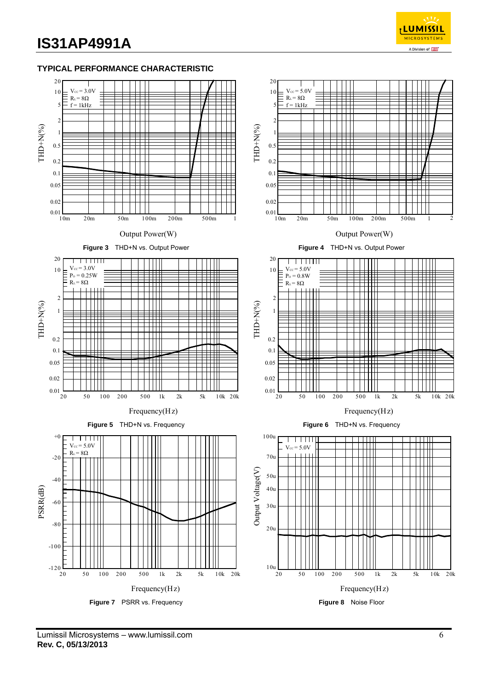

### **TYPICAL PERFORMANCE CHARACTERISTIC**

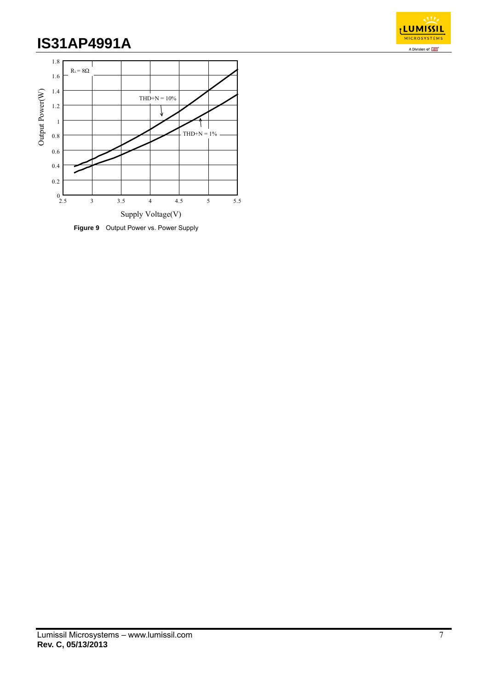



**Figure 9** Output Power vs. Power Supply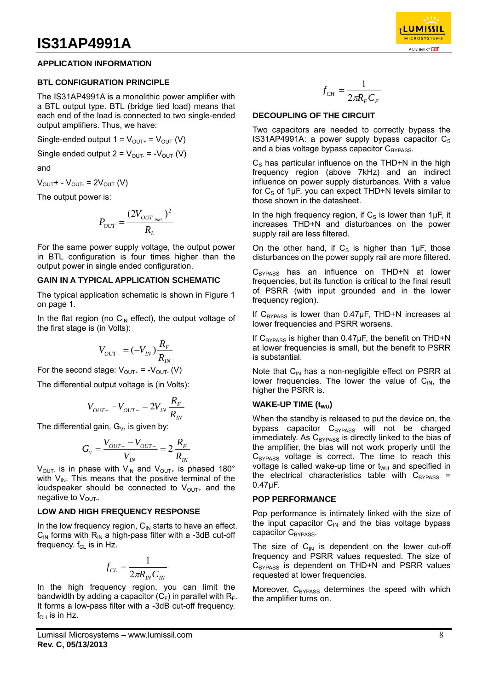#### **APPLICATION INFORMATION**

#### **BTL CONFIGURATION PRINCIPLE**

The IS31AP4991A is a monolithic power amplifier with a BTL output type. BTL (bridge tied load) means that each end of the load is connected to two single-ended output amplifiers. Thus, we have:

Single-ended output  $1 = V_{\text{OUT}+} = V_{\text{OUT}}(V)$ 

Single ended output  $2 = V_{\text{OUT}} = -V_{\text{OUT}}(V)$ 

and

 $V_{\text{OUT}}$  -  $V_{\text{OUT}}$  =  $2V_{\text{OUT}}$  (V)

The output power is:

$$
P_{OUT} = \frac{(2V_{OUT_{RMS}})^2}{R_L}
$$

For the same power supply voltage, the output power in BTL configuration is four times higher than the output power in single ended configuration.

#### **GAIN IN A TYPICAL APPLICATION SCHEMATIC**

The typical application schematic is shown in Figure 1 on page 1.

In the flat region (no  $C_{\text{IN}}$  effect), the output voltage of the first stage is (in Volts):

$$
V_{OUT-} = (-V_{IN})\frac{R_F}{R_{IN}}
$$

For the second stage:  $V_{\text{OUT+}} = -V_{\text{OUT-}} (V)$ 

The differential output voltage is (in Volts):

$$
V_{OUT^{+}}-V_{OUT^{-}}=2V_{IN}\frac{R_{F}}{R_{IN}}
$$

The differential gain,  $G_v$ , is given by:

$$
G_{v} = \frac{V_{OUT^{+}} - V_{OUT^{-}}}{V_{IN}} = 2\frac{R_{F}}{R_{IN}}
$$

 $V_{\text{OUT}}$  is in phase with  $V_{\text{IN}}$  and  $V_{\text{OUT}}$  is phased 180° with  $V_{IN}$ . This means that the positive terminal of the loudspeaker should be connected to  $V_{\text{OUT}+}$  and the negative to  $V_{\text{OUT}}$ .

#### **LOW AND HIGH FREQUENCY RESPONSE**

In the low frequency region,  $C_{IN}$  starts to have an effect.  $C_{\text{IN}}$  forms with  $R_{\text{IN}}$  a high-pass filter with a -3dB cut-off frequency.  $f_{CL}$  is in Hz.

$$
f_{CL} = \frac{1}{2\pi R_{IN} C_{IN}}
$$

In the high frequency region, you can limit the bandwidth by adding a capacitor  $(C_F)$  in parallel with  $R_F$ . It forms a low-pass filter with a -3dB cut-off frequency.  $f_{CH}$  is in Hz.

Lumissil Microsystems – www.lumissil.com **Rev. C, 05/13/2013**

$$
f_{CH} = \frac{1}{2\pi R_F C_F}
$$

#### **DECOUPLING OF THE CIRCUIT**

Two capacitors are needed to correctly bypass the IS31AP4991A: a power supply bypass capacitor  $C_s$ and a bias voltage bypass capacitor  $C_{\text{BYPASS}}$ .

 $C<sub>S</sub>$  has particular influence on the THD+N in the high frequency region (above 7kHz) and an indirect influence on power supply disturbances. With a value for  $C_S$  of 1µF, you can expect THD+N levels similar to those shown in the datasheet.

In the high frequency region, if  $C_S$  is lower than 1 $\mu$ F, it increases THD+N and disturbances on the power supply rail are less filtered.

On the other hand, if  $C_s$  is higher than 1uF, those disturbances on the power supply rail are more filtered.

 $C_{BYPASS}$  has an influence on THD+N at lower frequencies, but its function is critical to the final result of PSRR (with input grounded and in the lower frequency region).

If  $C_{BYPASS}$  is lower than 0.47 $\mu$ F, THD+N increases at lower frequencies and PSRR worsens.

If  $C_{BYPASS}$  is higher than 0.47µF, the benefit on THD+N at lower frequencies is small, but the benefit to PSRR is substantial.

Note that  $C_{IN}$  has a non-negligible effect on PSRR at lower frequencies. The lower the value of  $C_{IN}$ , the higher the PSRR is.

#### **WAKE-UP TIME (t<sub>WU</sub>)**

When the standby is released to put the device on, the bypass capacitor C<sub>BYPASS</sub> will not be charged immediately. As  $C_{\text{BYPASS}}$  is directly linked to the bias of the amplifier, the bias will not work properly until the  $C_{BYPASS}$  voltage is correct. The time to reach this voltage is called wake-up time or  $t_{\text{WU}}$  and specified in the electrical characteristics table with  $C_{BYPASS}$  = 0.47μF.

#### **POP PERFORMANCE**

Pop performance is intimately linked with the size of the input capacitor  $C_{IN}$  and the bias voltage bypass capacitor C<sub>BYPASS</sub>.

The size of  $C_{IN}$  is dependent on the lower cut-off frequency and PSRR values requested. The size of  $C_{BYPASS}$  is dependent on THD+N and PSRR values requested at lower frequencies.

Moreover,  $C_{BYPASS}$  determines the speed with which the amplifier turns on.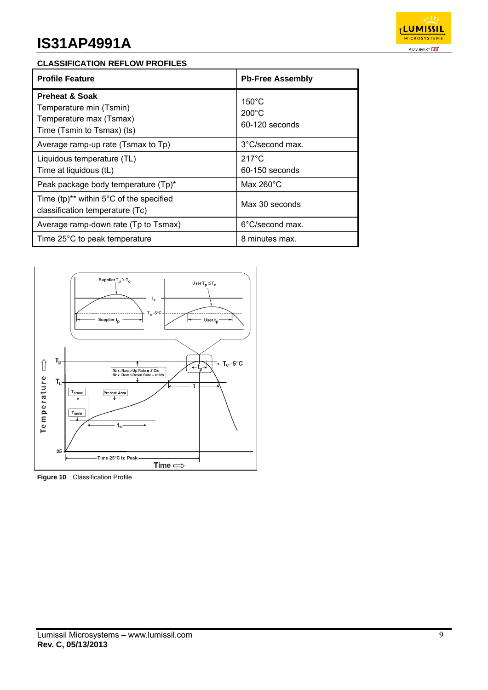

### **CLASSIFICATION REFLOW PROFILES**

| <b>Profile Feature</b>                                                                                        | <b>Pb-Free Assembly</b>                              |  |  |
|---------------------------------------------------------------------------------------------------------------|------------------------------------------------------|--|--|
| <b>Preheat &amp; Soak</b><br>Temperature min (Tsmin)<br>Temperature max (Tsmax)<br>Time (Tsmin to Tsmax) (ts) | $150^{\circ}$ C<br>$200^{\circ}$ C<br>60-120 seconds |  |  |
| Average ramp-up rate (Tsmax to Tp)                                                                            | 3°C/second max.                                      |  |  |
| Liquidous temperature (TL)<br>Time at liquidous (tL)                                                          | $217^{\circ}$ C<br>60-150 seconds                    |  |  |
| Peak package body temperature (Tp)*                                                                           | Max 260 $^{\circ}$ C                                 |  |  |
| Time (tp) <sup>**</sup> within $5^{\circ}$ C of the specified<br>classification temperature (Tc)              | Max 30 seconds                                       |  |  |
| Average ramp-down rate (Tp to Tsmax)                                                                          | 6°C/second max.                                      |  |  |
| Time 25°C to peak temperature                                                                                 | 8 minutes max.                                       |  |  |



**Figure 10** Classification Profile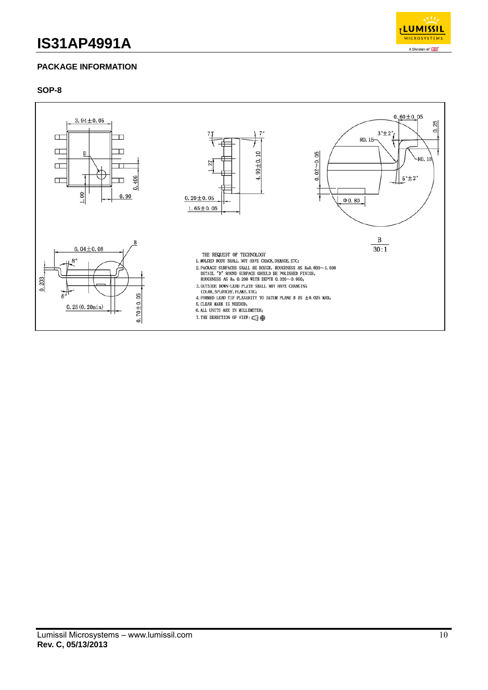

# **PACKAGE INFORMATION**

### **SOP-8**